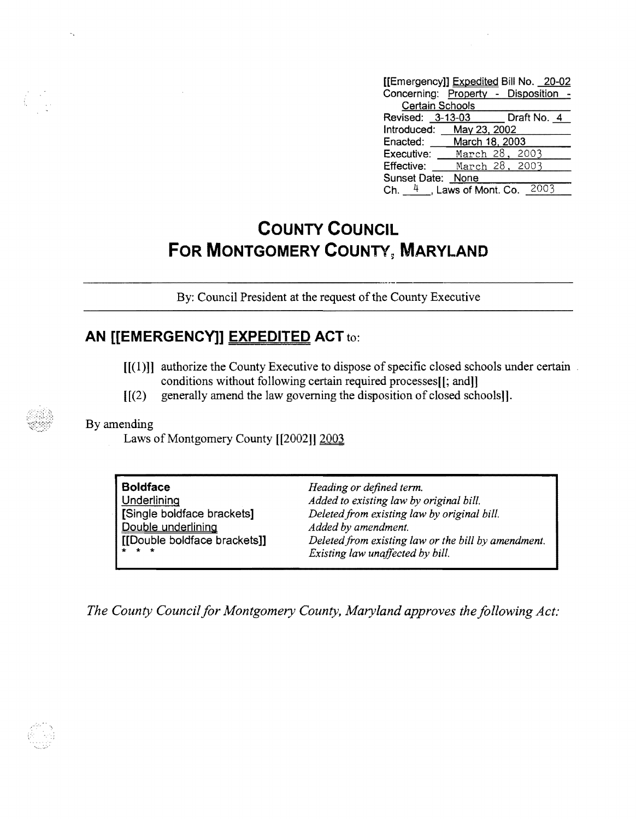| [[Emergency]] Expedited Bill No. 20-02    |                                      |  |  |
|-------------------------------------------|--------------------------------------|--|--|
|                                           | Concerning: Property - Disposition - |  |  |
| <b>Certain Schools</b>                    |                                      |  |  |
|                                           | Revised: 3-13-03 Draft No. 4         |  |  |
|                                           | Introduced: May 23, 2002             |  |  |
|                                           | Enacted: March 18, 2003              |  |  |
| Executive:                                | March 28, 2003                       |  |  |
| Effective:                                | March 28, 2003                       |  |  |
| Sunset Date: None                         |                                      |  |  |
| 2003<br>Ch. $4 \cdot$ , Laws of Mont. Co. |                                      |  |  |

## **COUNTY COUNCIL FOR MONTGOMERY COUNTY, MARYLAND**

By: Council President at the request of the County Executive

## **AN [[EMERGENCy]] EXPEDITED ACT** to:

- [[(1)]] authorize the County Executive to dispose of specific closed schools under certain. conditions without following certain required processes[[; and]]
- [[(2) generally amend the law governing the disposition of closed schools]].

## By amending

Laws of Montgomery County [[2002]] 2003

| <b>Boldface</b>              | Heading or defined term.                            |
|------------------------------|-----------------------------------------------------|
| <b>Underlining</b>           | Added to existing law by original bill.             |
| Single boldface brackets     | Deleted from existing law by original bill.         |
| Double underlining           | Added by amendment.                                 |
| [[Double boldface brackets]] | Deleted from existing law or the bill by amendment. |
|                              | Existing law unaffected by bill.                    |
|                              |                                                     |

*The County Council for Montgomery County, Maryland approves the following Act.'* 

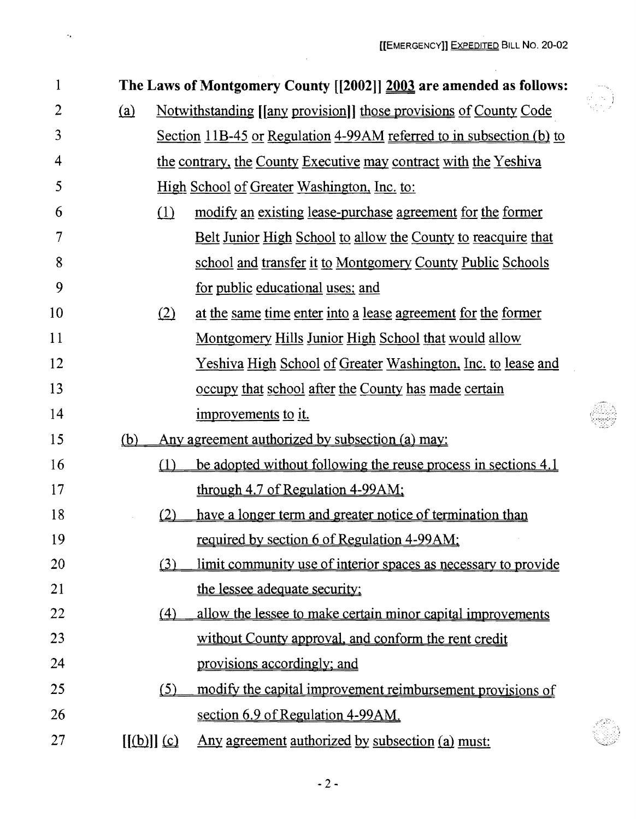$\sim$ 

er<br>Nors

| $\mathbf{1}$ |     |                                   | The Laws of Montgomery County [[2002]] 2003 are amended as follows:         |
|--------------|-----|-----------------------------------|-----------------------------------------------------------------------------|
| 2            | (a) |                                   | <u>Notwithstanding [[any provision]] those provisions of County Code</u>    |
| 3            |     |                                   | <u>Section 11B-45 or Regulation 4-99AM referred to in subsection (b) to</u> |
| 4            |     |                                   | the contrary, the County Executive may contract with the Yeshiva            |
| 5            |     |                                   | <u>High School of Greater Washington, Inc. to:</u>                          |
| 6            |     | $\Omega$                          | modify an existing lease-purchase agreement for the former                  |
| 7            |     |                                   | <u>Belt Junior High School to allow the County to reacquire that</u>        |
| 8            |     |                                   | school and transfer it to Montgomery County Public Schools                  |
| 9            |     |                                   | for public educational uses; and                                            |
| 10           |     | (2)                               | at the same time enter into a lease agreement for the former                |
| 11           |     |                                   | <u>Montgomery Hills Junior High School that would allow</u>                 |
| 12           |     |                                   | <u>Yeshiva High School of Greater Washington, Inc. to lease and</u>         |
| 13           |     |                                   | <u>occupy that school after the County has made certain</u>                 |
| 14           |     |                                   | improvements to it.                                                         |
| 15           | (b) |                                   | Any agreement authorized by subsection (a) may:                             |
| 16           |     | (1)                               | be adopted without following the reuse process in sections 4.1              |
| 17           |     |                                   | through $4.7$ of Regulation $4-99AM$ ;                                      |
| 18           |     | (2)                               | have a longer term and greater notice of termination than                   |
| 19           |     |                                   | required by section 6 of Regulation 4-99AM;                                 |
| 20           |     | (3)                               | limit community use of interior spaces as necessary to provide              |
| 21           |     |                                   | the lessee adequate security;                                               |
| 22           |     | (4)                               | allow the lessee to make certain minor capital improvements                 |
| 23           |     |                                   | without County approval, and conform the rent credit                        |
| 24           |     |                                   | provisions accordingly; and                                                 |
| 25           |     | (5)                               | modify the capital improvement reimbursement provisions of                  |
| 26           |     |                                   | section 6.9 of Regulation 4-99AM.                                           |
| 27           |     | $[(\underline{b})] \underline{c}$ | Any agreement authorized by subsection (a) must:                            |

 $\bar{z}$ 

 $\hat{\mathcal{Z}}_{\mathbf{a}}$